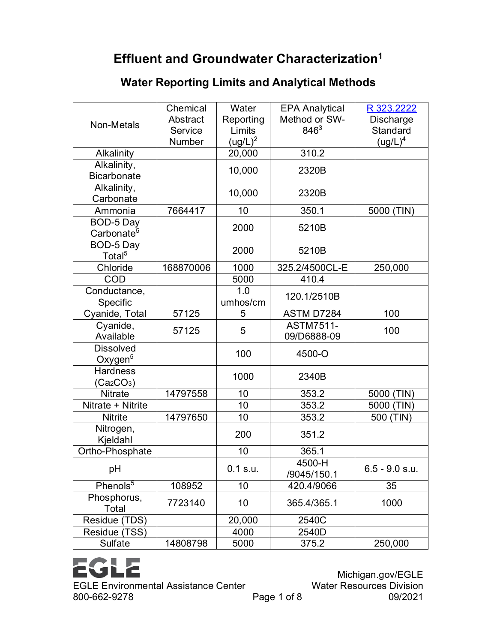## **Effluent and Groundwater Characterization1**

## **Water Reporting Limits and Analytical Methods**

| Non-Metals                         | Chemical<br>Abstract<br>Service<br>Number | Water<br>Reporting<br>Limits<br>$(ug/L)^2$ | <b>EPA Analytical</b><br>Method or SW-<br>$846^{3}$ | R 323.2222<br><b>Discharge</b><br>Standard<br>$(ug/L)^4$ |
|------------------------------------|-------------------------------------------|--------------------------------------------|-----------------------------------------------------|----------------------------------------------------------|
| Alkalinity                         |                                           | 20,000                                     | 310.2                                               |                                                          |
| Alkalinity,                        |                                           | 10,000                                     | 2320B                                               |                                                          |
| <b>Bicarbonate</b>                 |                                           |                                            |                                                     |                                                          |
| Alkalinity,                        |                                           | 10,000                                     | 2320B                                               |                                                          |
| Carbonate                          |                                           |                                            |                                                     |                                                          |
| Ammonia                            | 7664417                                   | 10                                         | 350.1                                               | 5000 (TIN)                                               |
| BOD-5 Day                          |                                           | 2000                                       | 5210B                                               |                                                          |
| Carbonate <sup>5</sup>             |                                           |                                            |                                                     |                                                          |
| BOD-5 Day                          |                                           | 2000                                       | 5210B                                               |                                                          |
| Total <sup>5</sup>                 |                                           |                                            |                                                     |                                                          |
| Chloride                           | 168870006                                 | 1000                                       | 325.2/4500CL-E                                      | 250,000                                                  |
| <b>COD</b>                         |                                           | 5000                                       | 410.4                                               |                                                          |
| Conductance,                       |                                           | 1.0                                        | 120.1/2510B                                         |                                                          |
| Specific                           |                                           | umhos/cm                                   |                                                     |                                                          |
| Cyanide, Total                     | 57125                                     | 5                                          | ASTM D7284                                          | 100                                                      |
| Cyanide,                           | 57125                                     | 5                                          | <b>ASTM7511-</b>                                    | 100                                                      |
| Available                          |                                           |                                            | 09/D6888-09                                         |                                                          |
| <b>Dissolved</b>                   |                                           | 100                                        | 4500-O                                              |                                                          |
| Oxygen <sup>5</sup>                |                                           |                                            |                                                     |                                                          |
| <b>Hardness</b>                    |                                           | 1000                                       | 2340B                                               |                                                          |
| (Ca <sub>2</sub> CO <sub>3</sub> ) |                                           |                                            |                                                     |                                                          |
| <b>Nitrate</b>                     | 14797558                                  | 10                                         | 353.2                                               | 5000 (TIN)                                               |
| Nitrate + Nitrite                  |                                           | 10                                         | 353.2                                               | 5000 (TIN)                                               |
| <b>Nitrite</b>                     | 14797650                                  | 10                                         | 353.2                                               | 500 (TIN)                                                |
| Nitrogen,                          |                                           | 200                                        | 351.2                                               |                                                          |
| Kjeldahl                           |                                           |                                            |                                                     |                                                          |
| Ortho-Phosphate                    |                                           | 10                                         | 365.1                                               |                                                          |
| pH                                 |                                           | 0.1 s.u.                                   | 4500-H                                              | $6.5 - 9.0$ s.u.                                         |
|                                    |                                           |                                            | /9045/150.1                                         |                                                          |
| Phenols <sup>5</sup>               | 108952                                    | 10                                         | 420.4/9066                                          | 35                                                       |
| Phosphorus,                        | 7723140                                   | 10                                         | 365.4/365.1                                         | 1000                                                     |
| Total                              |                                           |                                            |                                                     |                                                          |
| Residue (TDS)                      |                                           | 20,000                                     | 2540C                                               |                                                          |
| Residue (TSS)                      |                                           | 4000                                       | 2540D                                               |                                                          |
| Sulfate                            | 14808798                                  | 5000                                       | 375.2                                               | 250,000                                                  |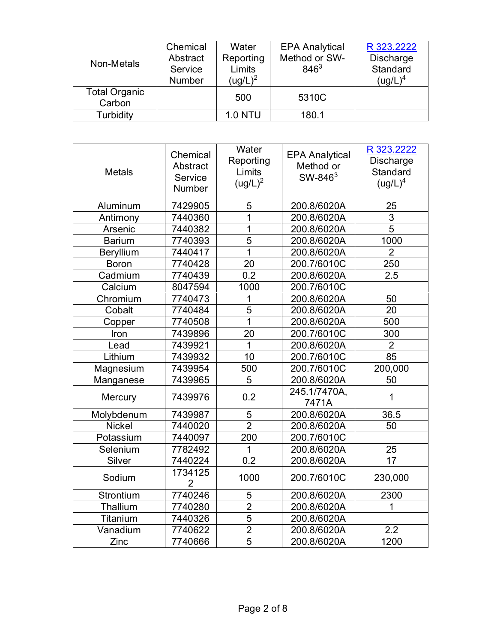| Non-Metals           | Chemical      | Water          | <b>EPA Analytical</b> | R 323.2222 |
|----------------------|---------------|----------------|-----------------------|------------|
|                      | Abstract      | Reporting      | Method or SW-         | Discharge  |
|                      | Service       | Limits         | $846^{3}$             | Standard   |
|                      | <b>Number</b> | $(ug/L)^2$     |                       | $(ug/L)^4$ |
| <b>Total Organic</b> |               | 500            | 5310C                 |            |
| Carbon               |               |                |                       |            |
| Turbidity            |               | <b>1.0 NTU</b> | 180.1                 |            |

| <b>Metals</b> | Chemical<br>Abstract<br>Service<br><b>Number</b> | Water<br>Reporting<br>Limits<br>$(ug/L)^2$ | <b>EPA Analytical</b><br>Method or<br>SW-846 <sup>3</sup> | R 323.2222<br>Discharge<br>Standard<br>$(ug/L)^4$ |
|---------------|--------------------------------------------------|--------------------------------------------|-----------------------------------------------------------|---------------------------------------------------|
| Aluminum      | 7429905                                          | 5                                          | 200.8/6020A                                               | 25                                                |
| Antimony      | 7440360                                          | 1                                          | 200.8/6020A                                               | 3                                                 |
| Arsenic       | 7440382                                          | 1                                          | 200.8/6020A                                               | $\overline{5}$                                    |
| <b>Barium</b> | 7740393                                          | $\overline{5}$                             | 200.8/6020A                                               | 1000                                              |
| Beryllium     | 7440417                                          | 1                                          | 200.8/6020A                                               | $\overline{2}$                                    |
| <b>Boron</b>  | 7740428                                          | 20                                         | 200.7/6010C                                               | 250                                               |
| Cadmium       | 7740439                                          | 0.2                                        | 200.8/6020A                                               | 2.5                                               |
| Calcium       | 8047594                                          | 1000                                       | 200.7/6010C                                               |                                                   |
| Chromium      | 7740473                                          | 1                                          | 200.8/6020A                                               | 50                                                |
| Cobalt        | 7740484                                          | 5                                          | 200.8/6020A                                               | 20                                                |
| Copper        | 7740508                                          | 1                                          | 200.8/6020A                                               | 500                                               |
| Iron          | 7439896                                          | 20                                         | 200.7/6010C                                               | 300                                               |
| Lead          | 7439921                                          | 1                                          | 200.8/6020A                                               | $\overline{2}$                                    |
| Lithium       | 7439932                                          | 10                                         | 200.7/6010C                                               | 85                                                |
| Magnesium     | 7439954                                          | 500                                        | 200.7/6010C                                               | 200,000                                           |
| Manganese     | 7439965                                          | 5                                          | 200.8/6020A                                               | 50                                                |
| Mercury       | 7439976                                          | 0.2                                        | 245.1/7470A,<br>7471A                                     | 1                                                 |
| Molybdenum    | 7439987                                          | 5                                          | 200.8/6020A                                               | 36.5                                              |
| <b>Nickel</b> | 7440020                                          | $\overline{2}$                             | 200.8/6020A                                               | 50                                                |
| Potassium     | 7440097                                          | 200                                        | 200.7/6010C                                               |                                                   |
| Selenium      | 7782492                                          | 1                                          | 200.8/6020A                                               | 25                                                |
| Silver        | 7440224                                          | $\overline{0.2}$                           | 200.8/6020A                                               | 17                                                |
| Sodium        | 1734125<br>$\overline{2}$                        | 1000                                       | 200.7/6010C                                               | 230,000                                           |
| Strontium     | 7740246                                          | 5                                          | 200.8/6020A                                               | 2300                                              |
| Thallium      | 7740280                                          | $\overline{2}$                             | 200.8/6020A                                               | 1                                                 |
| Titanium      | 7440326                                          | 5                                          | 200.8/6020A                                               |                                                   |
| Vanadium      | 7740622                                          | $\overline{2}$                             | 200.8/6020A                                               | 2.2                                               |
| Zinc          | 7740666                                          | 5                                          | 200.8/6020A                                               | 1200                                              |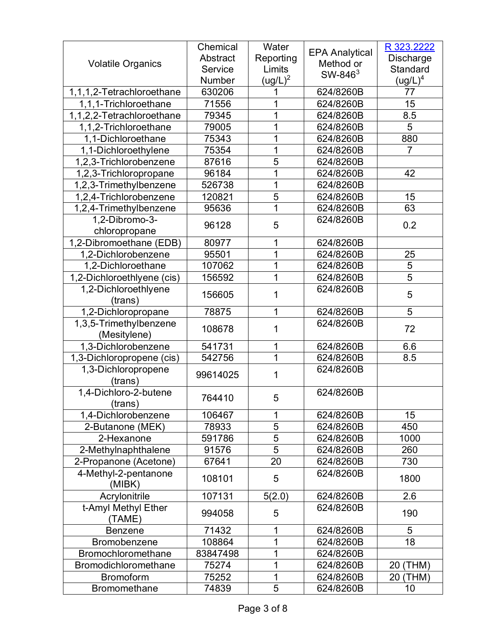|                            | Chemical | Water               |                       | R 323.2222          |
|----------------------------|----------|---------------------|-----------------------|---------------------|
|                            | Abstract | Reporting           | <b>EPA Analytical</b> | <b>Discharge</b>    |
| <b>Volatile Organics</b>   | Service  | Limits              | Method or             | Standard            |
|                            | Number   | (ug/L) <sup>2</sup> | $SW-846^3$            | $\mathsf{(ug/L)}^4$ |
| 1,1,1,2-Tetrachloroethane  | 630206   |                     | 624/8260B             | 77                  |
| 1,1,1-Trichloroethane      | 71556    | 1                   | 624/8260B             | 15                  |
| 1,1,2,2-Tetrachloroethane  | 79345    | 1                   | 624/8260B             | 8.5                 |
| 1,1,2-Trichloroethane      | 79005    | 1                   | 624/8260B             | 5                   |
| 1.1-Dichloroethane         | 75343    | 1                   | 624/8260B             | 880                 |
| 1,1-Dichloroethylene       | 75354    | 1                   | 624/8260B             | $\overline{7}$      |
| 1,2,3-Trichlorobenzene     | 87616    | 5                   | 624/8260B             |                     |
| 1,2,3-Trichloropropane     | 96184    | 1                   | 624/8260B             | 42                  |
| 1,2,3-Trimethylbenzene     | 526738   | 1                   | 624/8260B             |                     |
| 1,2,4-Trichlorobenzene     | 120821   | 5                   | 624/8260B             | 15                  |
| 1,2,4-Trimethylbenzene     | 95636    | 1                   | 624/8260B             | 63                  |
| 1,2-Dibromo-3-             |          |                     | 624/8260B             |                     |
| chloropropane              | 96128    | 5                   |                       | 0.2                 |
| 1,2-Dibromoethane (EDB)    | 80977    | 1                   | 624/8260B             |                     |
| 1,2-Dichlorobenzene        | 95501    | 1                   | 624/8260B             | 25                  |
| 1,2-Dichloroethane         | 107062   | 1                   | 624/8260B             | 5                   |
| 1,2-Dichloroethlyene (cis) | 156592   | 1                   | 624/8260B             | 5                   |
| 1,2-Dichloroethlyene       | 156605   | 1                   | 624/8260B             |                     |
| (trans)                    |          |                     |                       | 5                   |
| 1,2-Dichloropropane        | 78875    | 1                   | 624/8260B             | 5                   |
| 1,3,5-Trimethylbenzene     | 108678   | 1                   | 624/8260B             | 72                  |
| (Mesitylene)               |          |                     |                       |                     |
| 1,3-Dichlorobenzene        | 541731   | 1                   | 624/8260B             | 6.6                 |
| 1,3-Dichloropropene (cis)  | 542756   | 1                   | 624/8260B             | 8.5                 |
| 1,3-Dichloropropene        | 99614025 | 1                   | 624/8260B             |                     |
| (trans)                    |          |                     |                       |                     |
| 1,4-Dichloro-2-butene      | 764410   | 5                   | 624/8260B             |                     |
| (trans)                    |          |                     |                       |                     |
| 1,4-Dichlorobenzene        | 106467   | 1                   | 624/8260B             | 15                  |
| 2-Butanone (MEK)           | 78933    | 5                   | 624/8260B             | 450                 |
| 2-Hexanone                 | 591786   | 5                   | 624/8260B             | 1000                |
| 2-Methylnaphthalene        | 91576    | 5                   | 624/8260B             | 260                 |
| 2-Propanone (Acetone)      | 67641    | 20                  | 624/8260B             | 730                 |
| 4-Methyl-2-pentanone       | 108101   | 5                   | 624/8260B             | 1800                |
| (MIBK)                     |          |                     |                       |                     |
| Acrylonitrile              | 107131   | 5(2.0)              | 624/8260B             | 2.6                 |
| t-Amyl Methyl Ether        | 994058   | 5                   | 624/8260B             | 190                 |
| (TAME)                     |          |                     |                       |                     |
| <b>Benzene</b>             | 71432    | 1                   | 624/8260B             | 5                   |
| Bromobenzene               | 108864   | 1                   | 624/8260B             | 18                  |
| Bromochloromethane         | 83847498 | 1                   | 624/8260B             |                     |
| Bromodichloromethane       | 75274    | 1                   | 624/8260B             | 20 (THM)            |
| <b>Bromoform</b>           | 75252    | 1                   | 624/8260B             | 20 (THM)            |
| <b>Bromomethane</b>        | 74839    | 5                   | 624/8260B             | 10                  |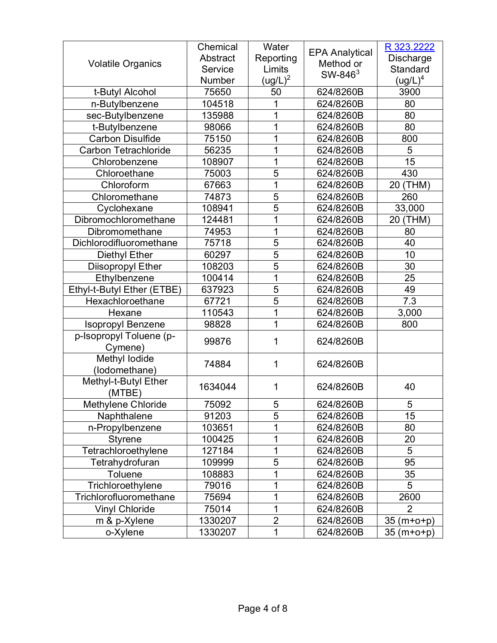|                             | Chemical | Water               |                       | R 323.2222      |
|-----------------------------|----------|---------------------|-----------------------|-----------------|
|                             | Abstract | Reporting           | <b>EPA Analytical</b> | Discharge       |
| <b>Volatile Organics</b>    | Service  | Limits              | Method or             | Standard        |
|                             | Number   | (ug/L) <sup>2</sup> | $SW-846^3$            | $(ug/L)^4$      |
| t-Butyl Alcohol             | 75650    | 50                  | 624/8260B             | 3900            |
| n-Butylbenzene              | 104518   |                     | 624/8260B             | 80              |
| sec-Butylbenzene            | 135988   | 1                   | 624/8260B             | 80              |
| t-Butylbenzene              | 98066    | 1                   | 624/8260B             | 80              |
| <b>Carbon Disulfide</b>     | 75150    | 1                   | 624/8260B             | 800             |
| <b>Carbon Tetrachloride</b> | 56235    | 1                   | 624/8260B             | 5               |
| Chlorobenzene               | 108907   | 1                   | 624/8260B             | 15              |
| Chloroethane                | 75003    | 5                   | 624/8260B             | 430             |
| Chloroform                  | 67663    | 1                   | 624/8260B             | 20 (THM)        |
| Chloromethane               | 74873    | 5                   | 624/8260B             | 260             |
| Cyclohexane                 | 108941   | 5                   | 624/8260B             | 33,000          |
| Dibromochloromethane        | 124481   | 1                   | 624/8260B             | 20 (THM)        |
| Dibromomethane              | 74953    | 1                   | 624/8260B             | 80              |
| Dichlorodifluoromethane     | 75718    | 5                   | 624/8260B             | 40              |
| <b>Diethyl Ether</b>        | 60297    | 5                   | 624/8260B             | 10              |
| Diisopropyl Ether           | 108203   | 5                   | 624/8260B             | 30              |
| Ethylbenzene                | 100414   | 1                   | 624/8260B             | 25              |
| Ethyl-t-Butyl Ether (ETBE)  | 637923   | 5                   | 624/8260B             | 49              |
| Hexachloroethane            | 67721    | 5                   | 624/8260B             | 7.3             |
| Hexane                      | 110543   | 1                   | 624/8260B             | 3,000           |
| <b>Isopropyl Benzene</b>    | 98828    | 1                   | 624/8260B             | 800             |
| p-Isopropyl Toluene (p-     | 99876    | 1                   | 624/8260B             |                 |
| Cymene)                     |          |                     |                       |                 |
| Methyl lodide               | 74884    | 1                   | 624/8260B             |                 |
| (lodomethane)               |          |                     |                       |                 |
| Methyl-t-Butyl Ether        | 1634044  | 1                   | 624/8260B             | 40              |
| (MTBE)                      |          |                     |                       |                 |
| Methylene Chloride          | 75092    | 5                   | 624/8260B             | 5               |
| Naphthalene                 | 91203    | 5                   | 624/8260B             | 15              |
| n-Propylbenzene             | 103651   |                     | 624/8260B             | 80              |
| <b>Styrene</b>              | 100425   | 1                   | 624/8260B             | 20              |
| Tetrachloroethylene         | 127184   | 1                   | 624/8260B             | 5               |
| Tetrahydrofuran             | 109999   | 5                   | 624/8260B             | 95              |
| <b>Toluene</b>              | 108883   | 1                   | 624/8260B             | 35              |
| Trichloroethylene           | 79016    | 1                   | 624/8260B             | 5               |
| Trichlorofluoromethane      | 75694    | 1                   | 624/8260B             | 2600            |
| <b>Vinyl Chloride</b>       | 75014    | 1                   | 624/8260B             | 2               |
| m & p-Xylene                | 1330207  | $\overline{2}$      | 624/8260B             | 35<br>$(m+o+p)$ |
| o-Xylene                    | 1330207  | 1                   | 624/8260B             | 35 (m+o+p)      |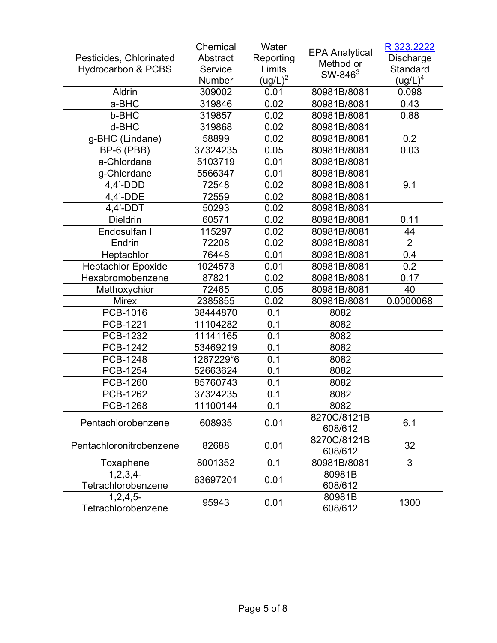|                               | Chemical  | Water      |                       | R 323.2222          |
|-------------------------------|-----------|------------|-----------------------|---------------------|
| Pesticides, Chlorinated       | Abstract  | Reporting  | <b>EPA Analytical</b> | Discharge           |
| <b>Hydrocarbon &amp; PCBS</b> | Service   | Limits     | Method or             | Standard            |
|                               | Number    | $(ug/L)^2$ | $SW-846^3$            | $\mathsf{(ug/L)}^4$ |
| Aldrin                        | 309002    | 0.01       | 80981B/8081           | 0.098               |
| a-BHC                         | 319846    | 0.02       | 80981B/8081           | 0.43                |
| b-BHC                         | 319857    | 0.02       | 80981B/8081           | 0.88                |
| d-BHC                         | 319868    | 0.02       | 80981B/8081           |                     |
| g-BHC (Lindane)               | 58899     | 0.02       | 80981B/8081           | 0.2                 |
| BP-6 (PBB)                    | 37324235  | 0.05       | 80981B/8081           | 0.03                |
| a-Chlordane                   | 5103719   | 0.01       | 80981B/8081           |                     |
| g-Chlordane                   | 5566347   | 0.01       | 80981B/8081           |                     |
| $4,4'$ -DDD                   | 72548     | 0.02       | 80981B/8081           | 9.1                 |
| $4,4'$ -DDE                   | 72559     | 0.02       | 80981B/8081           |                     |
| $4,4'$ -DDT                   | 50293     | 0.02       | 80981B/8081           |                     |
| <b>Dieldrin</b>               | 60571     | 0.02       | 80981B/8081           | 0.11                |
| Endosulfan I                  | 115297    | 0.02       | 80981B/8081           | 44                  |
| Endrin                        | 72208     | 0.02       | 80981B/8081           | $\overline{2}$      |
| Heptachlor                    | 76448     | 0.01       | 80981B/8081           | 0.4                 |
| <b>Heptachlor Epoxide</b>     | 1024573   | 0.01       | 80981B/8081           | 0.2                 |
| Hexabromobenzene              | 87821     | 0.02       | 80981B/8081           | 0.17                |
| Methoxychior                  | 72465     | 0.05       | 80981B/8081           | 40                  |
| <b>Mirex</b>                  | 2385855   | 0.02       | 80981B/8081           | 0.0000068           |
| PCB-1016                      | 38444870  | 0.1        | 8082                  |                     |
| PCB-1221                      | 11104282  | 0.1        | 8082                  |                     |
| PCB-1232                      | 11141165  | 0.1        | 8082                  |                     |
| PCB-1242                      | 53469219  | 0.1        | 8082                  |                     |
| PCB-1248                      | 1267229*6 | 0.1        | 8082                  |                     |
| <b>PCB-1254</b>               | 52663624  | 0.1        | 8082                  |                     |
| <b>PCB-1260</b>               | 85760743  | 0.1        | 8082                  |                     |
| PCB-1262                      | 37324235  | 0.1        | 8082                  |                     |
| <b>PCB-1268</b>               | 11100144  | 0.1        | 8082                  |                     |
| Pentachlorobenzene            | 608935    | 0.01       | 8270C/8121B           | 6.1                 |
|                               |           |            | 608/612               |                     |
| Pentachloronitrobenzene       | 82688     | 0.01       | 8270C/8121B           | 32                  |
|                               |           |            | 608/612               |                     |
| Toxaphene                     | 8001352   | 0.1        | 80981B/8081           | 3                   |
| 1, 2, 3, 4                    | 63697201  | 0.01       | 80981B                |                     |
| Tetrachlorobenzene            |           |            | 608/612               |                     |
| $1,2,4,5$ -                   | 95943     | 0.01       | 80981B                | 1300                |
| Tetrachlorobenzene            |           |            | 608/612               |                     |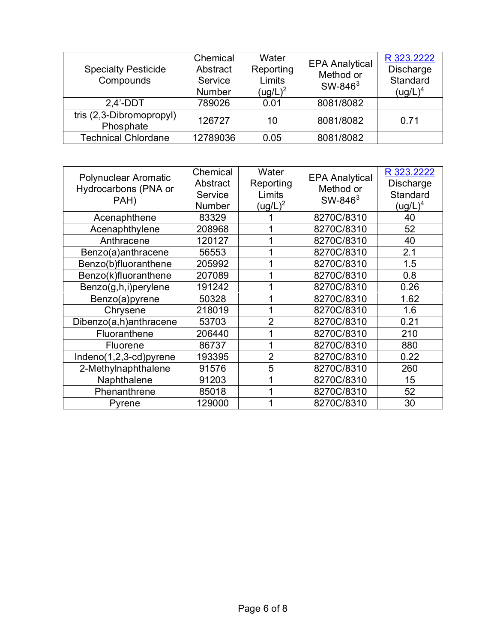| <b>Specialty Pesticide</b><br>Compounds | Chemical<br>Abstract<br>Service<br><b>Number</b> | Water<br>Reporting<br>Limits<br>$(ug/L)^2$ | <b>EPA Analytical</b><br>Method or<br>SW-846 $3$ | R 323.2222<br>Discharge<br>Standard<br>$(ug/L)^4$ |
|-----------------------------------------|--------------------------------------------------|--------------------------------------------|--------------------------------------------------|---------------------------------------------------|
| $2.4'$ -DDT                             | 789026                                           | 0.01                                       | 8081/8082                                        |                                                   |
| tris (2,3-Dibromopropyl)<br>Phosphate   | 126727                                           | 10                                         | 8081/8082                                        | 0.71                                              |
| <b>Technical Chlordane</b>              | 12789036                                         | 0.05                                       | 8081/8082                                        |                                                   |

| Polynuclear Aromatic<br>Hydrocarbons (PNA or<br>PAH) | Chemical<br>Abstract<br>Service<br>Number | Water<br>Reporting<br>Limits<br>$(ug/L)^2$ | <b>EPA Analytical</b><br>Method or<br>SW-846 <sup>3</sup> | R 323.2222<br>Discharge<br>Standard<br>$(ug/L)^4$ |
|------------------------------------------------------|-------------------------------------------|--------------------------------------------|-----------------------------------------------------------|---------------------------------------------------|
| Acenaphthene                                         | 83329                                     |                                            | 8270C/8310                                                | 40                                                |
| Acenaphthylene                                       | 208968                                    |                                            | 8270C/8310                                                | 52                                                |
| Anthracene                                           | 120127                                    |                                            | 8270C/8310                                                | 40                                                |
| Benzo(a)anthracene                                   | 56553                                     |                                            | 8270C/8310                                                | 2.1                                               |
| Benzo(b)fluoranthene                                 | 205992                                    |                                            | 8270C/8310                                                | 1.5                                               |
| Benzo(k)fluoranthene                                 | 207089                                    |                                            | 8270C/8310                                                | 0.8                                               |
| Benzo(g,h,i)perylene                                 | 191242                                    |                                            | 8270C/8310                                                | 0.26                                              |
| Benzo(a)pyrene                                       | 50328                                     |                                            | 8270C/8310                                                | 1.62                                              |
| Chrysene                                             | 218019                                    |                                            | 8270C/8310                                                | 1.6                                               |
| Dibenzo(a,h)anthracene                               | 53703                                     | $\overline{2}$                             | 8270C/8310                                                | 0.21                                              |
| Fluoranthene                                         | 206440                                    |                                            | 8270C/8310                                                | 210                                               |
| Fluorene                                             | 86737                                     |                                            | 8270C/8310                                                | 880                                               |
| Indeno(1,2,3-cd)pyrene                               | 193395                                    | $\overline{2}$                             | 8270C/8310                                                | 0.22                                              |
| 2-Methylnaphthalene                                  | 91576                                     | 5                                          | 8270C/8310                                                | 260                                               |
| Naphthalene                                          | 91203                                     |                                            | 8270C/8310                                                | 15                                                |
| Phenanthrene                                         | 85018                                     |                                            | 8270C/8310                                                | 52                                                |
| Pyrene                                               | 129000                                    |                                            | 8270C/8310                                                | 30                                                |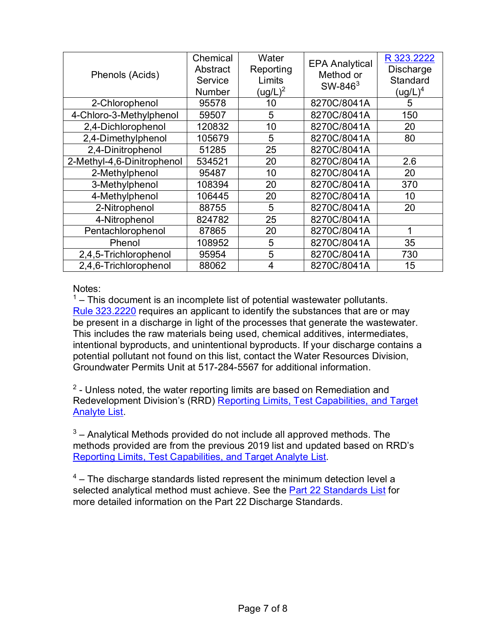| Phenols (Acids)            | Chemical<br>Abstract<br>Service<br>Number | Water<br>Reporting<br>Limits<br>(ug/L) <sup>2</sup> | <b>EPA Analytical</b><br>Method or<br>SW-846 <sup>3</sup> | R 323.2222<br>Discharge<br>Standard<br>$(ug/L)^4$ |
|----------------------------|-------------------------------------------|-----------------------------------------------------|-----------------------------------------------------------|---------------------------------------------------|
| 2-Chlorophenol             | 95578                                     | 10                                                  | 8270C/8041A                                               | 5                                                 |
| 4-Chloro-3-Methylphenol    | 59507                                     | 5                                                   | 8270C/8041A                                               | 150                                               |
| 2,4-Dichlorophenol         | 120832                                    | 10                                                  | 8270C/8041A                                               | 20                                                |
| 2,4-Dimethylphenol         | 105679                                    | 5                                                   | 8270C/8041A                                               | 80                                                |
| 2,4-Dinitrophenol          | 51285                                     | 25                                                  | 8270C/8041A                                               |                                                   |
| 2-Methyl-4,6-Dinitrophenol | 534521                                    | 20                                                  | 8270C/8041A                                               | 2.6                                               |
| 2-Methylphenol             | 95487                                     | 10                                                  | 8270C/8041A                                               | 20                                                |
| 3-Methylphenol             | 108394                                    | 20                                                  | 8270C/8041A                                               | 370                                               |
| 4-Methylphenol             | 106445                                    | 20                                                  | 8270C/8041A                                               | 10                                                |
| 2-Nitrophenol              | 88755                                     | 5                                                   | 8270C/8041A                                               | 20                                                |
| 4-Nitrophenol              | 824782                                    | 25                                                  | 8270C/8041A                                               |                                                   |
| Pentachlorophenol          | 87865                                     | 20                                                  | 8270C/8041A                                               | 1                                                 |
| Phenol                     | 108952                                    | 5                                                   | 8270C/8041A                                               | 35                                                |
| 2,4,5-Trichlorophenol      | 95954                                     | 5                                                   | 8270C/8041A                                               | 730                                               |
| 2,4,6-Trichlorophenol      | 88062                                     | 4                                                   | 8270C/8041A                                               | 15                                                |

## Notes:

 $1 -$  This document is an incomplete list of potential wastewater pollutants. Rule [323.2220](https://ars.apps.lara.state.mi.us/AdminCode/DownloadAdminCodeFile?FileName=R%20323.2201%20to%20R%20323.2240.pdf&ReturnHTML=True) requires an applicant to identify the substances that are or may be present in a discharge in light of the processes that generate the wastewater. This includes the raw materials being used, chemical additives, intermediates, intentional byproducts, and unintentional byproducts. If your discharge contains a potential pollutant not found on this list, contact the Water Resources Division, Groundwater Permits Unit at 517-284-5567 for additional information.

 $2$  - Unless noted, the water reporting limits are based on Remediation and Redevelopment Division's (RRD) Reporting Limits, Test Capabilities, and Target **Analyte List** 

 $3$  – Analytical Methods provided do not include all approved methods. The methods provided are from the previous 2019 list and updated based on RRD's [Reporting Limits, Test Capabilities, and Target Analyte List.](https://www.michigan.gov/documents/egle/RDD_LSS_EnvReportingLimits_660592_7.xlsx)

 $4$  – The discharge standards listed represent the minimum detection level a selected analytical method must achieve. See the [Part 22 Standards List](https://www.michigan.gov/documents/deq/wrd-groundwater-p22-standards_564955_7.pdf) for more detailed information on the Part 22 Discharge Standards.